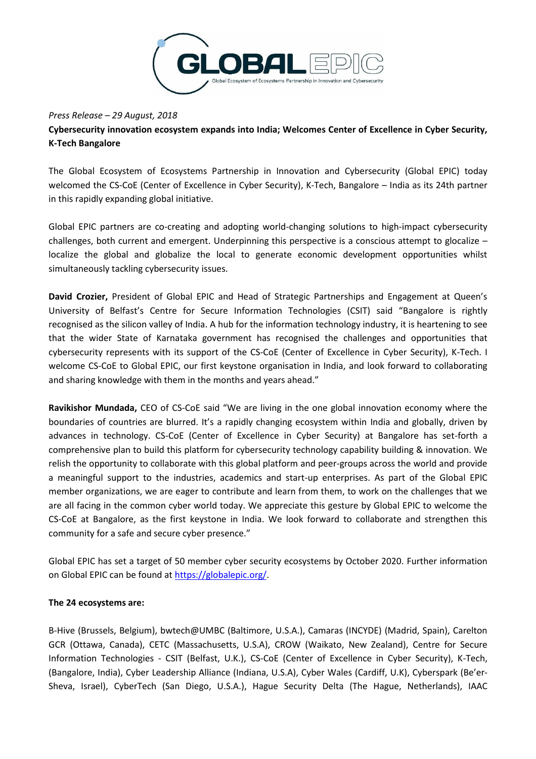

## *Press Release – 29 August, 2018*

**Cybersecurity innovation ecosystem expands into India; Welcomes Center of Excellence in Cyber Security, K-Tech Bangalore**

The Global Ecosystem of Ecosystems Partnership in Innovation and Cybersecurity (Global EPIC) today welcomed the CS-CoE (Center of Excellence in Cyber Security), K-Tech, Bangalore – India as its 24th partner in this rapidly expanding global initiative.

Global EPIC partners are co-creating and adopting world-changing solutions to high-impact cybersecurity challenges, both current and emergent. Underpinning this perspective is a conscious attempt to glocalize – localize the global and globalize the local to generate economic development opportunities whilst simultaneously tackling cybersecurity issues.

**David Crozier,** President of Global EPIC and Head of Strategic Partnerships and Engagement at Queen's University of Belfast's Centre for Secure Information Technologies (CSIT) said "Bangalore is rightly recognised as the silicon valley of India. A hub for the information technology industry, it is heartening to see that the wider State of Karnataka government has recognised the challenges and opportunities that cybersecurity represents with its support of the CS-CoE (Center of Excellence in Cyber Security), K-Tech. I welcome CS-CoE to Global EPIC, our first keystone organisation in India, and look forward to collaborating and sharing knowledge with them in the months and years ahead."

**Ravikishor Mundada,** CEO of CS-CoE said "We are living in the one global innovation economy where the boundaries of countries are blurred. It's a rapidly changing ecosystem within India and globally, driven by advances in technology. CS-CoE (Center of Excellence in Cyber Security) at Bangalore has set-forth a comprehensive plan to build this platform for cybersecurity technology capability building & innovation. We relish the opportunity to collaborate with this global platform and peer-groups across the world and provide a meaningful support to the industries, academics and start-up enterprises. As part of the Global EPIC member organizations, we are eager to contribute and learn from them, to work on the challenges that we are all facing in the common cyber world today. We appreciate this gesture by Global EPIC to welcome the CS-CoE at Bangalore, as the first keystone in India. We look forward to collaborate and strengthen this community for a safe and secure cyber presence."

Global EPIC has set a target of 50 member cyber security ecosystems by October 2020. Further information on Global EPIC can be found at [https://globalepic.org/.](https://globalepic.org/)

## **The 24 ecosystems are:**

B-Hive (Brussels, Belgium), bwtech@UMBC (Baltimore, U.S.A.), Camaras (INCYDE) (Madrid, Spain), Carelton GCR (Ottawa, Canada), CETC (Massachusetts, U.S.A), CROW (Waikato, New Zealand), Centre for Secure Information Technologies - CSIT (Belfast, U.K.), CS-CoE (Center of Excellence in Cyber Security), K-Tech, (Bangalore, India), Cyber Leadership Alliance (Indiana, U.S.A), Cyber Wales (Cardiff, U.K), Cyberspark (Be'er-Sheva, Israel), CyberTech (San Diego, U.S.A.), Hague Security Delta (The Hague, Netherlands), IAAC